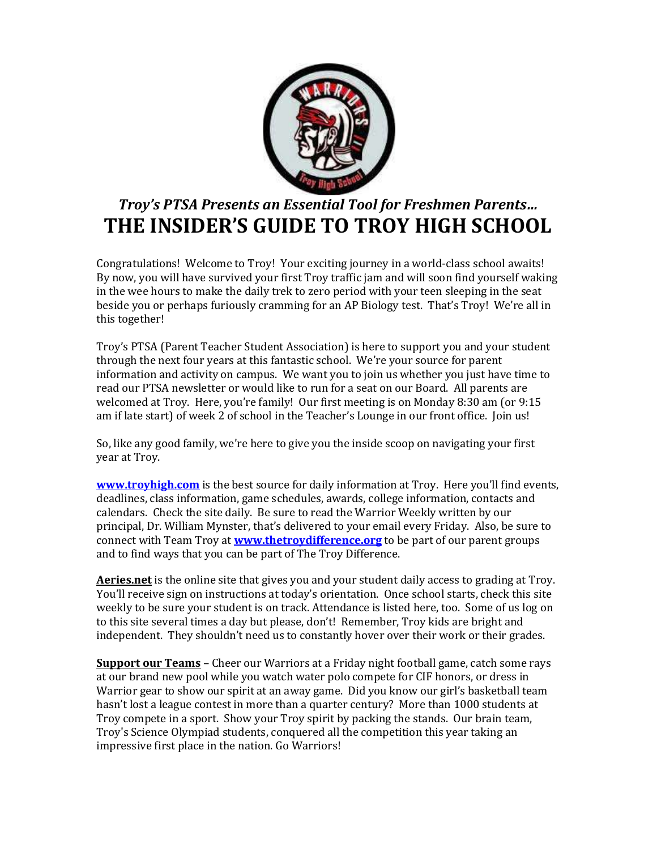

## Troy's PTSA Presents an Essential Tool for Freshmen Parents… THE INSIDER'S GUIDE TO TROY HIGH SCHOOL

Congratulations! Welcome to Troy! Your exciting journey in a world-class school awaits! By now, you will have survived your first Troy traffic jam and will soon find yourself waking in the wee hours to make the daily trek to zero period with your teen sleeping in the seat beside you or perhaps furiously cramming for an AP Biology test. That's Troy! We're all in this together!

Troy's PTSA (Parent Teacher Student Association) is here to support you and your student through the next four years at this fantastic school. We're your source for parent information and activity on campus. We want you to join us whether you just have time to read our PTSA newsletter or would like to run for a seat on our Board. All parents are welcomed at Troy. Here, you're family! Our first meeting is on Monday 8:30 am (or 9:15 am if late start) of week 2 of school in the Teacher's Lounge in our front office. Join us!

So, like any good family, we're here to give you the inside scoop on navigating your first year at Troy.

www.troyhigh.com is the best source for daily information at Troy. Here you'll find events, deadlines, class information, game schedules, awards, college information, contacts and calendars. Check the site daily. Be sure to read the Warrior Weekly written by our principal, Dr. William Mynster, that's delivered to your email every Friday. Also, be sure to connect with Team Troy at **www.thetroydifference.org** to be part of our parent groups and to find ways that you can be part of The Troy Difference.

Aeries.net is the online site that gives you and your student daily access to grading at Troy. You'll receive sign on instructions at today's orientation. Once school starts, check this site weekly to be sure your student is on track. Attendance is listed here, too. Some of us log on to this site several times a day but please, don't! Remember, Troy kids are bright and independent. They shouldn't need us to constantly hover over their work or their grades.

Support our Teams - Cheer our Warriors at a Friday night football game, catch some rays at our brand new pool while you watch water polo compete for CIF honors, or dress in Warrior gear to show our spirit at an away game. Did you know our girl's basketball team hasn't lost a league contest in more than a quarter century? More than 1000 students at Troy compete in a sport. Show your Troy spirit by packing the stands. Our brain team, Troy's Science Olympiad students, conquered all the competition this year taking an impressive first place in the nation. Go Warriors!